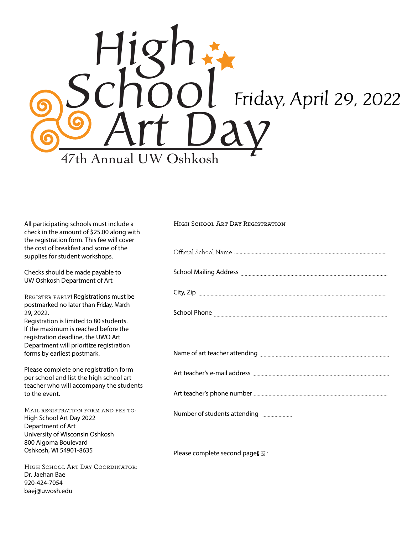

| All participating schools must include a<br>check in the amount of \$25.00 along with<br>the registration form. This fee will cover                                           | HIGH SCHOOL ART DAY REGISTRATION |
|-------------------------------------------------------------------------------------------------------------------------------------------------------------------------------|----------------------------------|
| the cost of breakfast and some of the<br>supplies for student workshops.                                                                                                      |                                  |
| Checks should be made payable to<br>UW Oshkosh Department of Art                                                                                                              |                                  |
| REGISTER EARLY! Registrations must be<br>postmarked no later than Friday, March                                                                                               | City, Zip                        |
| 29, 2022.<br>Registration is limited to 80 students.<br>If the maximum is reached before the<br>registration deadline, the UWO Art<br>Department will prioritize registration |                                  |
| forms by earliest postmark.                                                                                                                                                   |                                  |
| Please complete one registration form<br>per school and list the high school art                                                                                              |                                  |
| teacher who will accompany the students<br>to the event.                                                                                                                      |                                  |
| MAIL REGISTRATION FORM AND FEE TO:<br>High School Art Day 2022<br>Department of Art                                                                                           | Number of students attending     |
| University of Wisconsin Oshkosh<br>800 Algoma Boulevard                                                                                                                       |                                  |
| Oshkosh, WI 54901-8635                                                                                                                                                        | Please complete second page      |
| HIGH SCHOOL ART DAY COORDINATOR:<br>Dr. Jaehan Bae                                                                                                                            |                                  |

920-424-7054 baej@uwosh.edu